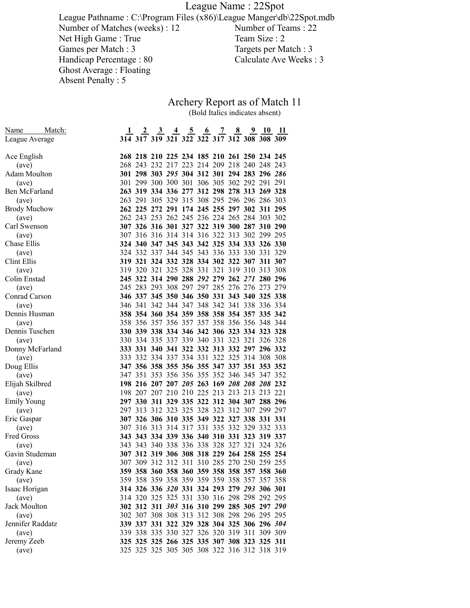League Name : 22Spot

League Pathname : C:\Program Files (x86)\League Manger\db\22Spot.mdb Number of Matches (weeks) : 12<br>Number of Teams : 22<br>Net High Game : True<br>Team Size : 2 Net High Game : True<br>Games per Match : 3 Targets per Match : 3<br>Calculate Ave Weeks : 3 Handicap Percentage : 80 Ghost Average : Floating Absent Penalty : 5

## Archery Report as of Match 11 (Bold Italics indicates absent)

| Match:<br>Name      |                                             |  |  | <u>2 3 4 5 6 7 8 9 10 11</u> |  |  |
|---------------------|---------------------------------------------|--|--|------------------------------|--|--|
| League Average      | 314 317 319 321 322 322 317 312 308 308 309 |  |  |                              |  |  |
|                     |                                             |  |  |                              |  |  |
| Ace English         | 268 218 210 225 234 185 210 261 250 234 245 |  |  |                              |  |  |
| (ave)               | 268 243 232 217 223 214 209 218 240 248 243 |  |  |                              |  |  |
| Adam Moulton        | 301 298 303 295 304 312 301 294 283 296 286 |  |  |                              |  |  |
| (ave)               | 301 299 300 300 301 306 305 302 292 291 291 |  |  |                              |  |  |
| Ben McFarland       | 263 319 334 336 277 312 298 278 313 269 328 |  |  |                              |  |  |
| (ave)               | 263 291 305 329 315 308 295 296 296 286 303 |  |  |                              |  |  |
| <b>Brody Muchow</b> | 262 225 272 291 174 245 255 297 302 311 295 |  |  |                              |  |  |
| (ave)               | 262 243 253 262 245 236 224 265 284 303 302 |  |  |                              |  |  |
| Carl Swenson        | 307 326 316 301 327 322 319 300 287 310 290 |  |  |                              |  |  |
| (ave)               | 307 316 316 314 314 316 322 313 302 299 295 |  |  |                              |  |  |
| Chase Ellis         | 324 340 347 345 343 342 325 334 333 326 330 |  |  |                              |  |  |
| (ave)               | 324 332 337 344 345 343 336 333 330 331 329 |  |  |                              |  |  |
| Clint Ellis         | 319 321 324 332 328 334 302 322 307 311 307 |  |  |                              |  |  |
| (ave)               | 319 320 321 325 328 331 321 319 310 313 308 |  |  |                              |  |  |
| Colin Enstad        | 245 322 314 290 288 292 279 262 271 280 296 |  |  |                              |  |  |
| (ave)               | 245 283 293 308 297 297 285 276 276 273 279 |  |  |                              |  |  |
| Conrad Carson       | 346 337 345 350 346 350 331 343 340 325 338 |  |  |                              |  |  |
| (ave)               | 346 341 342 344 347 348 342 341 338 336 334 |  |  |                              |  |  |
| Dennis Husman       | 358 354 360 354 359 358 358 354 357 335 342 |  |  |                              |  |  |
| (ave)               | 358 356 357 356 357 357 358 356 356 348 344 |  |  |                              |  |  |
| Dennis Tuschen      | 330 339 338 334 346 342 306 323 334 323 328 |  |  |                              |  |  |
| (ave)               | 330 334 335 337 339 340 331 323 321 326 328 |  |  |                              |  |  |
| Donny McFarland     | 333 331 340 341 322 332 313 332 297 296 332 |  |  |                              |  |  |
| (ave)               | 333 332 334 337 334 331 322 325 314 308 308 |  |  |                              |  |  |
| Doug Ellis          | 347 356 358 355 356 355 347 337 351 353 352 |  |  |                              |  |  |
| (ave)               | 347 351 353 356 356 355 352 346 345 347 352 |  |  |                              |  |  |
| Elijah Skilbred     | 198 216 207 207 205 263 169 208 208 208 232 |  |  |                              |  |  |
| (ave)               | 198 207 207 210 210 225 213 213 213 213 221 |  |  |                              |  |  |
| <b>Emily Young</b>  | 297 330 311 329 335 322 312 304 307 288 296 |  |  |                              |  |  |
| (ave)               | 297 313 312 323 325 328 323 312 307 299 297 |  |  |                              |  |  |
| Eric Gaspar         | 307 326 306 310 335 349 322 327 338 331 331 |  |  |                              |  |  |
| (ave)               | 307 316 313 314 317 331 335 332 329 332 333 |  |  |                              |  |  |
| Fred Gross          | 343 343 334 339 336 340 310 331 323 319 337 |  |  |                              |  |  |
| (ave)               | 343 343 340 338 336 338 328 327 321 324 326 |  |  |                              |  |  |
| Gavin Studeman      | 307 312 319 306 308 318 229 264 258 255 254 |  |  |                              |  |  |
| (ave)               | 307 309 312 312 311 310 285 270 250 259 255 |  |  |                              |  |  |
| Grady Kane          | 359 358 360 358 360 359 358 358 357 358 360 |  |  |                              |  |  |
| (ave)               | 359 358 359 358 359 359 359 358 357 357 358 |  |  |                              |  |  |
| Isaac Horigan       | 314 326 336 320 331 324 293 279 293 306 301 |  |  |                              |  |  |
| (ave)               | 314 320 325 325 331 330 316 298 298 292 295 |  |  |                              |  |  |
| Jack Moulton        | 302 312 311 303 316 310 299 285 305 297 290 |  |  |                              |  |  |
| (ave)               | 302 307 308 308 313 312 308 298 296 295 295 |  |  |                              |  |  |
| Jennifer Raddatz    | 339 337 331 322 329 328 304 325 306 296 304 |  |  |                              |  |  |
| (ave)               | 339 338 335 330 327 326 320 319 311 309 309 |  |  |                              |  |  |
| Jeremy Zeeb         | 325 325 325 266 325 335 307 308 323 325 311 |  |  |                              |  |  |
| (ave)               | 325 325 325 305 305 308 322 316 312 318 319 |  |  |                              |  |  |
|                     |                                             |  |  |                              |  |  |